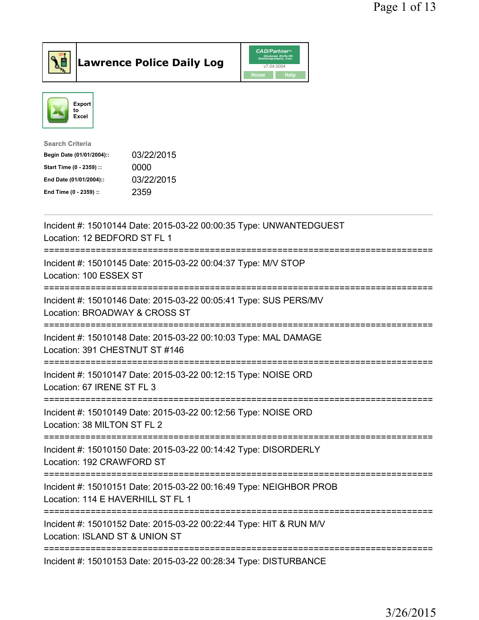



| <b>Search Criteria</b>    |            |
|---------------------------|------------|
| Begin Date (01/01/2004):: | 03/22/2015 |
| Start Time (0 - 2359) ::  | 0000       |
| End Date (01/01/2004)::   | 03/22/2015 |
| End Time (0 - 2359) ::    | 2359       |
|                           |            |

| Incident #: 15010144 Date: 2015-03-22 00:00:35 Type: UNWANTEDGUEST<br>Location: 12 BEDFORD ST FL 1                                            |
|-----------------------------------------------------------------------------------------------------------------------------------------------|
| Incident #: 15010145 Date: 2015-03-22 00:04:37 Type: M/V STOP<br>Location: 100 ESSEX ST                                                       |
| Incident #: 15010146 Date: 2015-03-22 00:05:41 Type: SUS PERS/MV<br>Location: BROADWAY & CROSS ST                                             |
| Incident #: 15010148 Date: 2015-03-22 00:10:03 Type: MAL DAMAGE<br>Location: 391 CHESTNUT ST #146                                             |
| Incident #: 15010147 Date: 2015-03-22 00:12:15 Type: NOISE ORD<br>Location: 67 IRENE ST FL 3                                                  |
| Incident #: 15010149 Date: 2015-03-22 00:12:56 Type: NOISE ORD<br>Location: 38 MILTON ST FL 2                                                 |
| :===================<br>Incident #: 15010150 Date: 2015-03-22 00:14:42 Type: DISORDERLY<br>Location: 192 CRAWFORD ST<br>===================== |
| Incident #: 15010151 Date: 2015-03-22 00:16:49 Type: NEIGHBOR PROB<br>Location: 114 E HAVERHILL ST FL 1                                       |
| Incident #: 15010152 Date: 2015-03-22 00:22:44 Type: HIT & RUN M/V<br>Location: ISLAND ST & UNION ST                                          |
| Incident #: 15010153 Date: 2015-03-22 00:28:34 Type: DISTURBANCE                                                                              |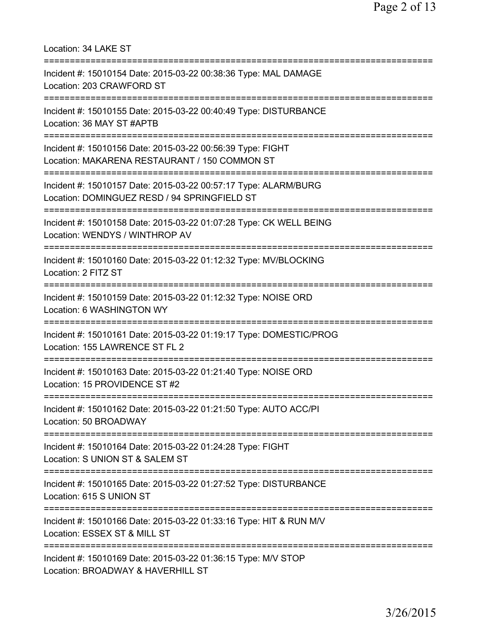Location: 34 LAKE ST =========================================================================== Incident #: 15010154 Date: 2015-03-22 00:38:36 Type: MAL DAMAGE Location: 203 CRAWFORD ST =========================================================================== Incident #: 15010155 Date: 2015-03-22 00:40:49 Type: DISTURBANCE Location: 36 MAY ST #APTB =========================================================================== Incident #: 15010156 Date: 2015-03-22 00:56:39 Type: FIGHT Location: MAKARENA RESTAURANT / 150 COMMON ST =========================================================================== Incident #: 15010157 Date: 2015-03-22 00:57:17 Type: ALARM/BURG Location: DOMINGUEZ RESD / 94 SPRINGFIELD ST =========================================================================== Incident #: 15010158 Date: 2015-03-22 01:07:28 Type: CK WELL BEING Location: WENDYS / WINTHROP AV =========================================================================== Incident #: 15010160 Date: 2015-03-22 01:12:32 Type: MV/BLOCKING Location: 2 FITZ ST =========================================================================== Incident #: 15010159 Date: 2015-03-22 01:12:32 Type: NOISE ORD Location: 6 WASHINGTON WY =========================================================================== Incident #: 15010161 Date: 2015-03-22 01:19:17 Type: DOMESTIC/PROG Location: 155 LAWRENCE ST FL 2 =========================================================================== Incident #: 15010163 Date: 2015-03-22 01:21:40 Type: NOISE ORD Location: 15 PROVIDENCE ST #2 =========================================================================== Incident #: 15010162 Date: 2015-03-22 01:21:50 Type: AUTO ACC/PI Location: 50 BROADWAY =========================================================================== Incident #: 15010164 Date: 2015-03-22 01:24:28 Type: FIGHT Location: S UNION ST & SALEM ST =========================================================================== Incident #: 15010165 Date: 2015-03-22 01:27:52 Type: DISTURBANCE Location: 615 S UNION ST =========================================================================== Incident #: 15010166 Date: 2015-03-22 01:33:16 Type: HIT & RUN M/V Location: ESSEX ST & MILL ST =========================================================================== Incident #: 15010169 Date: 2015-03-22 01:36:15 Type: M/V STOP Location: BROADWAY & HAVERHILL ST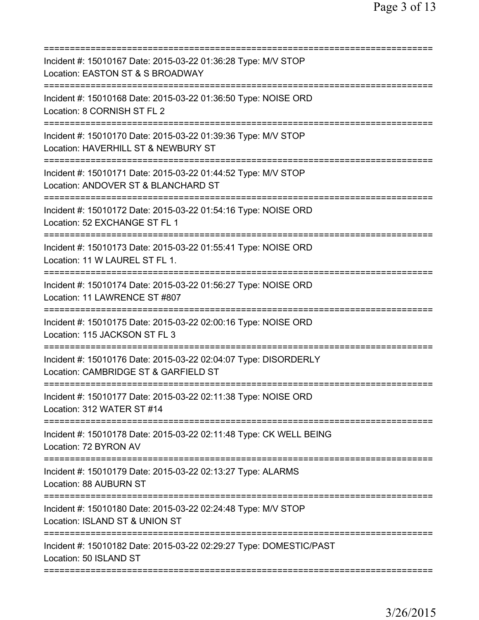| Incident #: 15010167 Date: 2015-03-22 01:36:28 Type: M/V STOP<br>Location: EASTON ST & S BROADWAY                               |
|---------------------------------------------------------------------------------------------------------------------------------|
| Incident #: 15010168 Date: 2015-03-22 01:36:50 Type: NOISE ORD<br>Location: 8 CORNISH ST FL 2                                   |
| Incident #: 15010170 Date: 2015-03-22 01:39:36 Type: M/V STOP<br>Location: HAVERHILL ST & NEWBURY ST                            |
| Incident #: 15010171 Date: 2015-03-22 01:44:52 Type: M/V STOP<br>Location: ANDOVER ST & BLANCHARD ST                            |
| ============================<br>Incident #: 15010172 Date: 2015-03-22 01:54:16 Type: NOISE ORD<br>Location: 52 EXCHANGE ST FL 1 |
| Incident #: 15010173 Date: 2015-03-22 01:55:41 Type: NOISE ORD<br>Location: 11 W LAUREL ST FL 1.                                |
| Incident #: 15010174 Date: 2015-03-22 01:56:27 Type: NOISE ORD<br>Location: 11 LAWRENCE ST #807                                 |
| Incident #: 15010175 Date: 2015-03-22 02:00:16 Type: NOISE ORD<br>Location: 115 JACKSON ST FL 3                                 |
| Incident #: 15010176 Date: 2015-03-22 02:04:07 Type: DISORDERLY<br>Location: CAMBRIDGE ST & GARFIELD ST                         |
| Incident #: 15010177 Date: 2015-03-22 02:11:38 Type: NOISE ORD<br>Location: 312 WATER ST #14                                    |
| Incident #: 15010178 Date: 2015-03-22 02:11:48 Type: CK WELL BEING<br>Location: 72 BYRON AV                                     |
| Incident #: 15010179 Date: 2015-03-22 02:13:27 Type: ALARMS<br><b>Location: 88 AUBURN ST</b>                                    |
| Incident #: 15010180 Date: 2015-03-22 02:24:48 Type: M/V STOP<br>Location: ISLAND ST & UNION ST                                 |
| Incident #: 15010182 Date: 2015-03-22 02:29:27 Type: DOMESTIC/PAST<br>Location: 50 ISLAND ST                                    |
|                                                                                                                                 |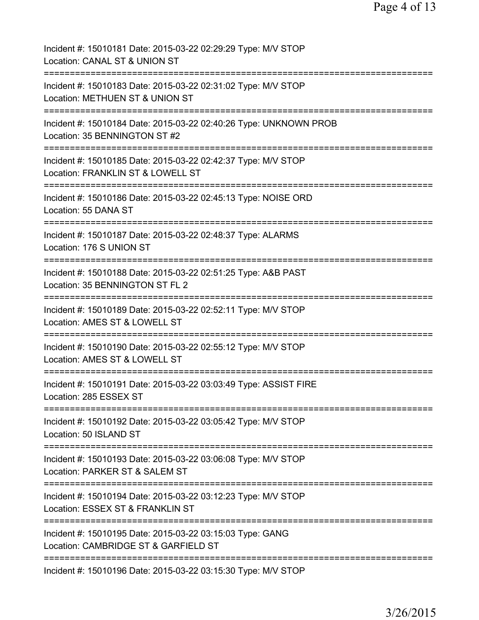| Incident #: 15010181 Date: 2015-03-22 02:29:29 Type: M/V STOP<br>Location: CANAL ST & UNION ST             |
|------------------------------------------------------------------------------------------------------------|
| Incident #: 15010183 Date: 2015-03-22 02:31:02 Type: M/V STOP<br>Location: METHUEN ST & UNION ST           |
| Incident #: 15010184 Date: 2015-03-22 02:40:26 Type: UNKNOWN PROB<br>Location: 35 BENNINGTON ST #2         |
| Incident #: 15010185 Date: 2015-03-22 02:42:37 Type: M/V STOP<br>Location: FRANKLIN ST & LOWELL ST         |
| Incident #: 15010186 Date: 2015-03-22 02:45:13 Type: NOISE ORD<br>Location: 55 DANA ST                     |
| Incident #: 15010187 Date: 2015-03-22 02:48:37 Type: ALARMS<br>Location: 176 S UNION ST<br>=============== |
| Incident #: 15010188 Date: 2015-03-22 02:51:25 Type: A&B PAST<br>Location: 35 BENNINGTON ST FL 2           |
| Incident #: 15010189 Date: 2015-03-22 02:52:11 Type: M/V STOP<br>Location: AMES ST & LOWELL ST             |
| Incident #: 15010190 Date: 2015-03-22 02:55:12 Type: M/V STOP<br>Location: AMES ST & LOWELL ST             |
| :===========<br>Incident #: 15010191 Date: 2015-03-22 03:03:49 Type: ASSIST FIRE<br>Location: 285 ESSEX ST |
| Incident #: 15010192 Date: 2015-03-22 03:05:42 Type: M/V STOP<br>Location: 50 ISLAND ST                    |
| Incident #: 15010193 Date: 2015-03-22 03:06:08 Type: M/V STOP<br>Location: PARKER ST & SALEM ST            |
| Incident #: 15010194 Date: 2015-03-22 03:12:23 Type: M/V STOP<br>Location: ESSEX ST & FRANKLIN ST          |
| Incident #: 15010195 Date: 2015-03-22 03:15:03 Type: GANG<br>Location: CAMBRIDGE ST & GARFIELD ST          |
| Incident #: 15010196 Date: 2015-03-22 03:15:30 Type: M/V STOP                                              |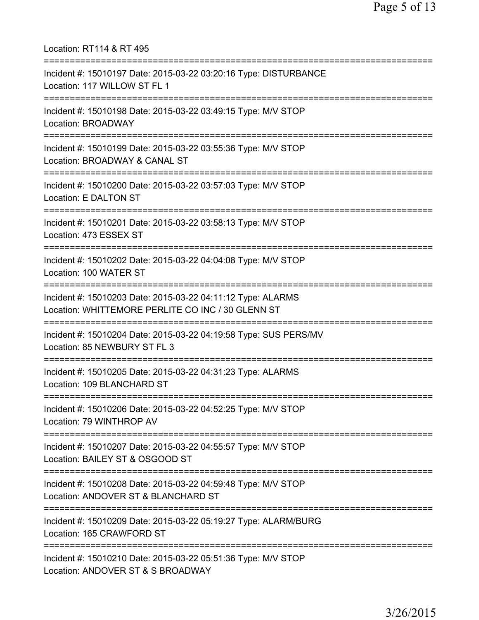Location: RT114 & RT 495 =========================================================================== Incident #: 15010197 Date: 2015-03-22 03:20:16 Type: DISTURBANCE Location: 117 WILLOW ST FL 1 =========================================================================== Incident #: 15010198 Date: 2015-03-22 03:49:15 Type: M/V STOP Location: BROADWAY =========================================================================== Incident #: 15010199 Date: 2015-03-22 03:55:36 Type: M/V STOP Location: BROADWAY & CANAL ST =========================================================================== Incident #: 15010200 Date: 2015-03-22 03:57:03 Type: M/V STOP Location: E DALTON ST =========================================================================== Incident #: 15010201 Date: 2015-03-22 03:58:13 Type: M/V STOP Location: 473 ESSEX ST =========================================================================== Incident #: 15010202 Date: 2015-03-22 04:04:08 Type: M/V STOP Location: 100 WATER ST =========================================================================== Incident #: 15010203 Date: 2015-03-22 04:11:12 Type: ALARMS Location: WHITTEMORE PERLITE CO INC / 30 GLENN ST =========================================================================== Incident #: 15010204 Date: 2015-03-22 04:19:58 Type: SUS PERS/MV Location: 85 NEWBURY ST FL 3 =========================================================================== Incident #: 15010205 Date: 2015-03-22 04:31:23 Type: ALARMS Location: 109 BLANCHARD ST =========================================================================== Incident #: 15010206 Date: 2015-03-22 04:52:25 Type: M/V STOP Location: 79 WINTHROP AV =========================================================================== Incident #: 15010207 Date: 2015-03-22 04:55:57 Type: M/V STOP Location: BAILEY ST & OSGOOD ST =========================================================================== Incident #: 15010208 Date: 2015-03-22 04:59:48 Type: M/V STOP Location: ANDOVER ST & BLANCHARD ST =========================================================================== Incident #: 15010209 Date: 2015-03-22 05:19:27 Type: ALARM/BURG Location: 165 CRAWFORD ST =========================================================================== Incident #: 15010210 Date: 2015-03-22 05:51:36 Type: M/V STOP Location: ANDOVER ST & S BROADWAY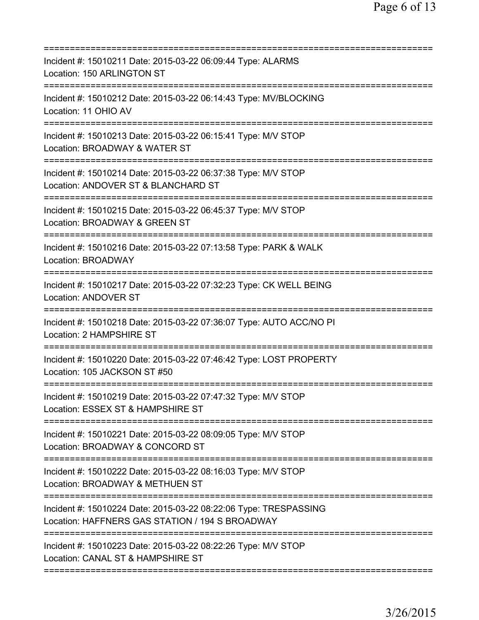| Incident #: 15010211 Date: 2015-03-22 06:09:44 Type: ALARMS<br>Location: 150 ARLINGTON ST                                            |
|--------------------------------------------------------------------------------------------------------------------------------------|
| Incident #: 15010212 Date: 2015-03-22 06:14:43 Type: MV/BLOCKING<br>Location: 11 OHIO AV                                             |
| Incident #: 15010213 Date: 2015-03-22 06:15:41 Type: M/V STOP<br>Location: BROADWAY & WATER ST                                       |
| Incident #: 15010214 Date: 2015-03-22 06:37:38 Type: M/V STOP<br>Location: ANDOVER ST & BLANCHARD ST                                 |
| ===========================<br>Incident #: 15010215 Date: 2015-03-22 06:45:37 Type: M/V STOP<br>Location: BROADWAY & GREEN ST        |
| Incident #: 15010216 Date: 2015-03-22 07:13:58 Type: PARK & WALK<br>Location: BROADWAY                                               |
| Incident #: 15010217 Date: 2015-03-22 07:32:23 Type: CK WELL BEING<br><b>Location: ANDOVER ST</b>                                    |
| Incident #: 15010218 Date: 2015-03-22 07:36:07 Type: AUTO ACC/NO PI<br>Location: 2 HAMPSHIRE ST                                      |
| Incident #: 15010220 Date: 2015-03-22 07:46:42 Type: LOST PROPERTY<br>Location: 105 JACKSON ST #50                                   |
| Incident #: 15010219 Date: 2015-03-22 07:47:32 Type: M/V STOP<br>Location: ESSEX ST & HAMPSHIRE ST                                   |
| ==============================<br>Incident #: 15010221 Date: 2015-03-22 08:09:05 Type: M/V STOP<br>Location: BROADWAY & CONCORD ST   |
| Incident #: 15010222 Date: 2015-03-22 08:16:03 Type: M/V STOP<br>Location: BROADWAY & METHUEN ST                                     |
| Incident #: 15010224 Date: 2015-03-22 08:22:06 Type: TRESPASSING<br>Location: HAFFNERS GAS STATION / 194 S BROADWAY                  |
| ==============================<br>Incident #: 15010223 Date: 2015-03-22 08:22:26 Type: M/V STOP<br>Location: CANAL ST & HAMPSHIRE ST |
|                                                                                                                                      |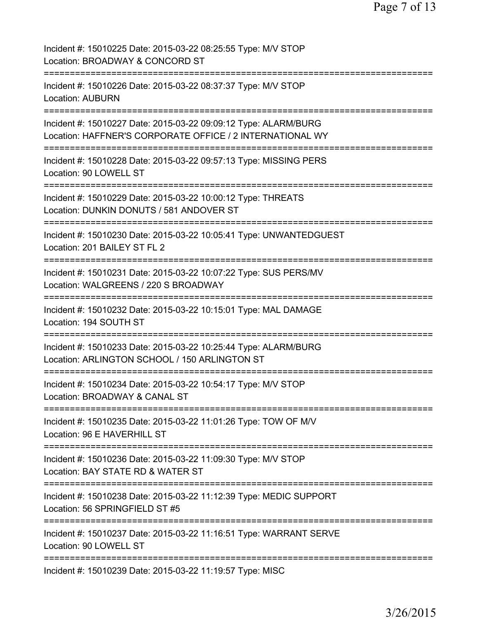| Incident #: 15010225 Date: 2015-03-22 08:25:55 Type: M/V STOP<br>Location: BROADWAY & CONCORD ST                                 |
|----------------------------------------------------------------------------------------------------------------------------------|
| Incident #: 15010226 Date: 2015-03-22 08:37:37 Type: M/V STOP<br><b>Location: AUBURN</b>                                         |
| Incident #: 15010227 Date: 2015-03-22 09:09:12 Type: ALARM/BURG<br>Location: HAFFNER'S CORPORATE OFFICE / 2 INTERNATIONAL WY     |
| Incident #: 15010228 Date: 2015-03-22 09:57:13 Type: MISSING PERS<br>Location: 90 LOWELL ST                                      |
| Incident #: 15010229 Date: 2015-03-22 10:00:12 Type: THREATS<br>Location: DUNKIN DONUTS / 581 ANDOVER ST                         |
| Incident #: 15010230 Date: 2015-03-22 10:05:41 Type: UNWANTEDGUEST<br>Location: 201 BAILEY ST FL 2                               |
| Incident #: 15010231 Date: 2015-03-22 10:07:22 Type: SUS PERS/MV<br>Location: WALGREENS / 220 S BROADWAY                         |
| Incident #: 15010232 Date: 2015-03-22 10:15:01 Type: MAL DAMAGE<br>Location: 194 SOUTH ST                                        |
| Incident #: 15010233 Date: 2015-03-22 10:25:44 Type: ALARM/BURG<br>Location: ARLINGTON SCHOOL / 150 ARLINGTON ST                 |
| Incident #: 15010234 Date: 2015-03-22 10:54:17 Type: M/V STOP<br>Location: BROADWAY & CANAL ST                                   |
| Incident #: 15010235 Date: 2015-03-22 11:01:26 Type: TOW OF M/V<br>Location: 96 E HAVERHILL ST                                   |
| ==========================<br>Incident #: 15010236 Date: 2015-03-22 11:09:30 Type: M/V STOP<br>Location: BAY STATE RD & WATER ST |
| Incident #: 15010238 Date: 2015-03-22 11:12:39 Type: MEDIC SUPPORT<br>Location: 56 SPRINGFIELD ST #5                             |
| Incident #: 15010237 Date: 2015-03-22 11:16:51 Type: WARRANT SERVE<br>Location: 90 LOWELL ST                                     |
| Incident #: 15010239 Date: 2015-03-22 11:19:57 Type: MISC                                                                        |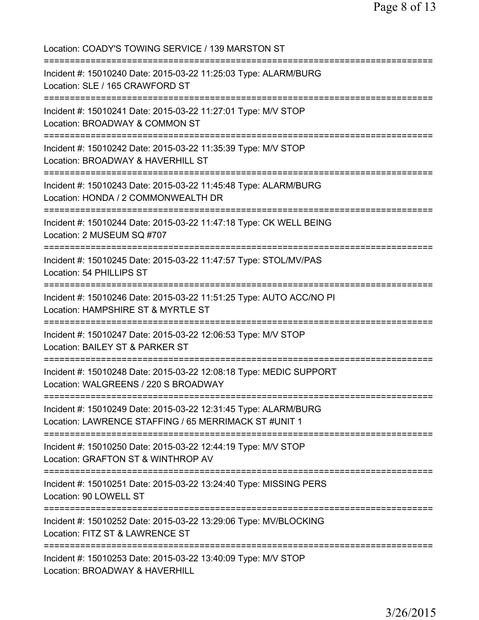| Location: COADY'S TOWING SERVICE / 139 MARSTON ST                                                                             |
|-------------------------------------------------------------------------------------------------------------------------------|
| Incident #: 15010240 Date: 2015-03-22 11:25:03 Type: ALARM/BURG<br>Location: SLE / 165 CRAWFORD ST                            |
| Incident #: 15010241 Date: 2015-03-22 11:27:01 Type: M/V STOP<br>Location: BROADWAY & COMMON ST<br>-------------------------- |
| Incident #: 15010242 Date: 2015-03-22 11:35:39 Type: M/V STOP<br>Location: BROADWAY & HAVERHILL ST                            |
| Incident #: 15010243 Date: 2015-03-22 11:45:48 Type: ALARM/BURG<br>Location: HONDA / 2 COMMONWEALTH DR                        |
| Incident #: 15010244 Date: 2015-03-22 11:47:18 Type: CK WELL BEING<br>Location: 2 MUSEUM SQ #707                              |
| ---------------------------<br>Incident #: 15010245 Date: 2015-03-22 11:47:57 Type: STOL/MV/PAS<br>Location: 54 PHILLIPS ST   |
| Incident #: 15010246 Date: 2015-03-22 11:51:25 Type: AUTO ACC/NO PI<br>Location: HAMPSHIRE ST & MYRTLE ST                     |
| Incident #: 15010247 Date: 2015-03-22 12:06:53 Type: M/V STOP<br>Location: BAILEY ST & PARKER ST                              |
| Incident #: 15010248 Date: 2015-03-22 12:08:18 Type: MEDIC SUPPORT<br>Location: WALGREENS / 220 S BROADWAY                    |
| Incident #: 15010249 Date: 2015-03-22 12:31:45 Type: ALARM/BURG<br>Location: LAWRENCE STAFFING / 65 MERRIMACK ST #UNIT 1      |
| Incident #: 15010250 Date: 2015-03-22 12:44:19 Type: M/V STOP<br>Location: GRAFTON ST & WINTHROP AV                           |
| Incident #: 15010251 Date: 2015-03-22 13:24:40 Type: MISSING PERS<br>Location: 90 LOWELL ST                                   |
| Incident #: 15010252 Date: 2015-03-22 13:29:06 Type: MV/BLOCKING<br>Location: FITZ ST & LAWRENCE ST                           |
| Incident #: 15010253 Date: 2015-03-22 13:40:09 Type: M/V STOP<br>Location: BROADWAY & HAVERHILL                               |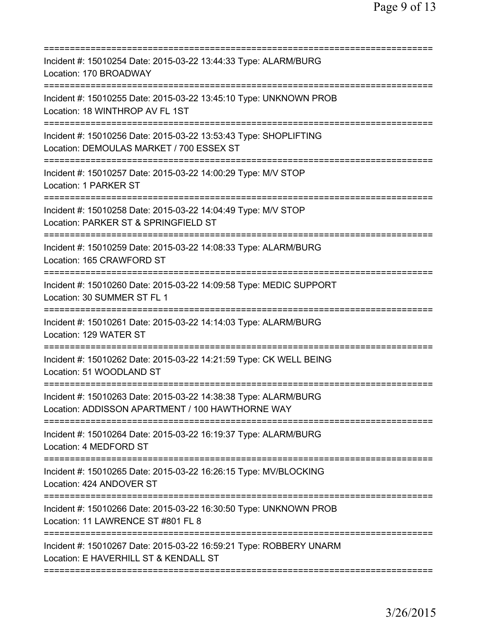| Incident #: 15010254 Date: 2015-03-22 13:44:33 Type: ALARM/BURG<br>Location: 170 BROADWAY                           |
|---------------------------------------------------------------------------------------------------------------------|
| Incident #: 15010255 Date: 2015-03-22 13:45:10 Type: UNKNOWN PROB<br>Location: 18 WINTHROP AV FL 1ST                |
| Incident #: 15010256 Date: 2015-03-22 13:53:43 Type: SHOPLIFTING<br>Location: DEMOULAS MARKET / 700 ESSEX ST        |
| Incident #: 15010257 Date: 2015-03-22 14:00:29 Type: M/V STOP<br>Location: 1 PARKER ST<br>------------------------  |
| Incident #: 15010258 Date: 2015-03-22 14:04:49 Type: M/V STOP<br>Location: PARKER ST & SPRINGFIELD ST               |
| Incident #: 15010259 Date: 2015-03-22 14:08:33 Type: ALARM/BURG<br>Location: 165 CRAWFORD ST                        |
| Incident #: 15010260 Date: 2015-03-22 14:09:58 Type: MEDIC SUPPORT<br>Location: 30 SUMMER ST FL 1                   |
| Incident #: 15010261 Date: 2015-03-22 14:14:03 Type: ALARM/BURG<br>Location: 129 WATER ST                           |
| Incident #: 15010262 Date: 2015-03-22 14:21:59 Type: CK WELL BEING<br>Location: 51 WOODLAND ST                      |
| Incident #: 15010263 Date: 2015-03-22 14:38:38 Type: ALARM/BURG<br>Location: ADDISSON APARTMENT / 100 HAWTHORNE WAY |
| Incident #: 15010264 Date: 2015-03-22 16:19:37 Type: ALARM/BURG<br>Location: 4 MEDFORD ST                           |
| Incident #: 15010265 Date: 2015-03-22 16:26:15 Type: MV/BLOCKING<br>Location: 424 ANDOVER ST                        |
| Incident #: 15010266 Date: 2015-03-22 16:30:50 Type: UNKNOWN PROB<br>Location: 11 LAWRENCE ST #801 FL 8             |
| Incident #: 15010267 Date: 2015-03-22 16:59:21 Type: ROBBERY UNARM<br>Location: E HAVERHILL ST & KENDALL ST         |
|                                                                                                                     |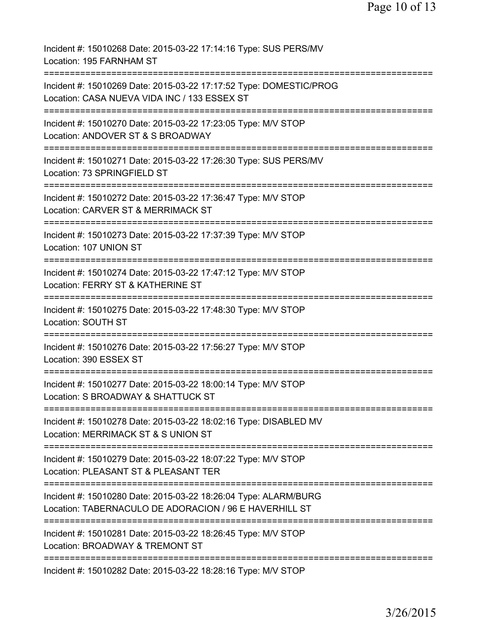Incident #: 15010268 Date: 2015-03-22 17:14:16 Type: SUS PERS/MV Location: 195 FARNHAM ST =========================================================================== Incident #: 15010269 Date: 2015-03-22 17:17:52 Type: DOMESTIC/PROG Location: CASA NUEVA VIDA INC / 133 ESSEX ST =========================================================================== Incident #: 15010270 Date: 2015-03-22 17:23:05 Type: M/V STOP Location: ANDOVER ST & S BROADWAY =========================================================================== Incident #: 15010271 Date: 2015-03-22 17:26:30 Type: SUS PERS/MV Location: 73 SPRINGFIELD ST =========================================================================== Incident #: 15010272 Date: 2015-03-22 17:36:47 Type: M/V STOP Location: CARVER ST & MERRIMACK ST =========================================================================== Incident #: 15010273 Date: 2015-03-22 17:37:39 Type: M/V STOP Location: 107 UNION ST =========================================================================== Incident #: 15010274 Date: 2015-03-22 17:47:12 Type: M/V STOP Location: FERRY ST & KATHERINE ST =========================================================================== Incident #: 15010275 Date: 2015-03-22 17:48:30 Type: M/V STOP Location: SOUTH ST =========================================================================== Incident #: 15010276 Date: 2015-03-22 17:56:27 Type: M/V STOP Location: 390 ESSEX ST =========================================================================== Incident #: 15010277 Date: 2015-03-22 18:00:14 Type: M/V STOP Location: S BROADWAY & SHATTUCK ST =========================================================================== Incident #: 15010278 Date: 2015-03-22 18:02:16 Type: DISABLED MV Location: MERRIMACK ST & S UNION ST =========================================================================== Incident #: 15010279 Date: 2015-03-22 18:07:22 Type: M/V STOP Location: PLEASANT ST & PLEASANT TER =========================================================================== Incident #: 15010280 Date: 2015-03-22 18:26:04 Type: ALARM/BURG Location: TABERNACULO DE ADORACION / 96 E HAVERHILL ST =========================================================================== Incident #: 15010281 Date: 2015-03-22 18:26:45 Type: M/V STOP Location: BROADWAY & TREMONT ST =========================================================================== Incident #: 15010282 Date: 2015-03-22 18:28:16 Type: M/V STOP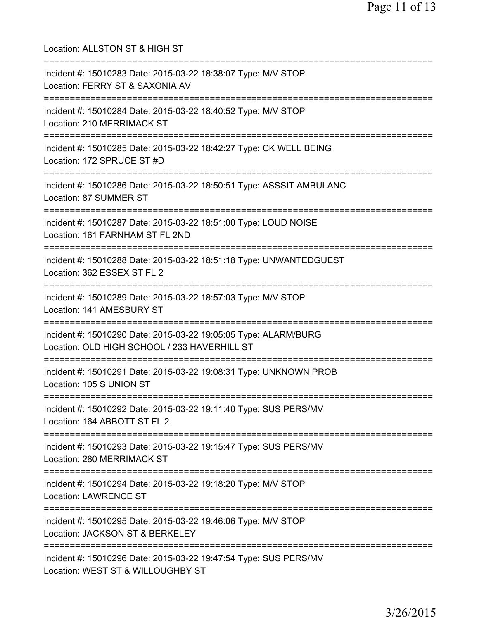Location: ALLSTON ST & HIGH ST =========================================================================== Incident #: 15010283 Date: 2015-03-22 18:38:07 Type: M/V STOP Location: FERRY ST & SAXONIA AV =========================================================================== Incident #: 15010284 Date: 2015-03-22 18:40:52 Type: M/V STOP Location: 210 MERRIMACK ST =========================================================================== Incident #: 15010285 Date: 2015-03-22 18:42:27 Type: CK WELL BEING Location: 172 SPRUCE ST #D =========================================================================== Incident #: 15010286 Date: 2015-03-22 18:50:51 Type: ASSSIT AMBULANC Location: 87 SUMMER ST =========================================================================== Incident #: 15010287 Date: 2015-03-22 18:51:00 Type: LOUD NOISE Location: 161 FARNHAM ST FL 2ND =========================================================================== Incident #: 15010288 Date: 2015-03-22 18:51:18 Type: UNWANTEDGUEST Location: 362 ESSEX ST FL 2 =========================================================================== Incident #: 15010289 Date: 2015-03-22 18:57:03 Type: M/V STOP Location: 141 AMESBURY ST =========================================================================== Incident #: 15010290 Date: 2015-03-22 19:05:05 Type: ALARM/BURG Location: OLD HIGH SCHOOL / 233 HAVERHILL ST =========================================================================== Incident #: 15010291 Date: 2015-03-22 19:08:31 Type: UNKNOWN PROB Location: 105 S UNION ST =========================================================================== Incident #: 15010292 Date: 2015-03-22 19:11:40 Type: SUS PERS/MV Location: 164 ABBOTT ST FL 2 =========================================================================== Incident #: 15010293 Date: 2015-03-22 19:15:47 Type: SUS PERS/MV Location: 280 MERRIMACK ST =========================================================================== Incident #: 15010294 Date: 2015-03-22 19:18:20 Type: M/V STOP Location: LAWRENCE ST =========================================================================== Incident #: 15010295 Date: 2015-03-22 19:46:06 Type: M/V STOP Location: JACKSON ST & BERKELEY =========================================================================== Incident #: 15010296 Date: 2015-03-22 19:47:54 Type: SUS PERS/MV Location: WEST ST & WILLOUGHBY ST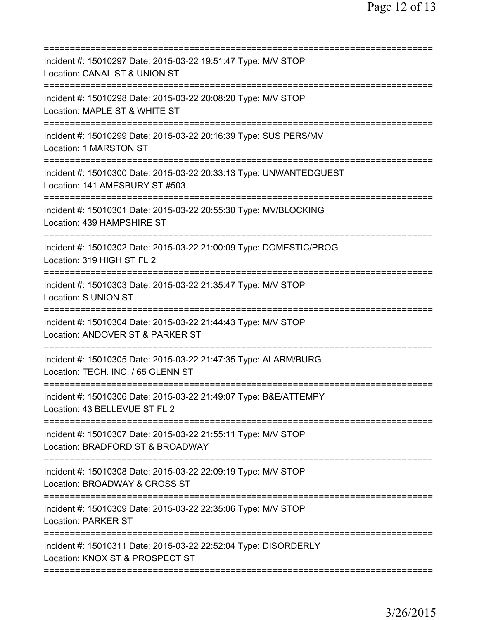| Incident #: 15010297 Date: 2015-03-22 19:51:47 Type: M/V STOP<br>Location: CANAL ST & UNION ST<br>=======================<br>============  |
|--------------------------------------------------------------------------------------------------------------------------------------------|
| Incident #: 15010298 Date: 2015-03-22 20:08:20 Type: M/V STOP<br>Location: MAPLE ST & WHITE ST                                             |
| Incident #: 15010299 Date: 2015-03-22 20:16:39 Type: SUS PERS/MV<br>Location: 1 MARSTON ST                                                 |
| Incident #: 15010300 Date: 2015-03-22 20:33:13 Type: UNWANTEDGUEST<br>Location: 141 AMESBURY ST #503<br>---------------------              |
| Incident #: 15010301 Date: 2015-03-22 20:55:30 Type: MV/BLOCKING<br>Location: 439 HAMPSHIRE ST                                             |
| =====================<br>Incident #: 15010302 Date: 2015-03-22 21:00:09 Type: DOMESTIC/PROG<br>Location: 319 HIGH ST FL 2                  |
| Incident #: 15010303 Date: 2015-03-22 21:35:47 Type: M/V STOP<br>Location: S UNION ST                                                      |
| =====================================<br>Incident #: 15010304 Date: 2015-03-22 21:44:43 Type: M/V STOP<br>Location: ANDOVER ST & PARKER ST |
| Incident #: 15010305 Date: 2015-03-22 21:47:35 Type: ALARM/BURG<br>Location: TECH. INC. / 65 GLENN ST                                      |
| Incident #: 15010306 Date: 2015-03-22 21:49:07 Type: B&E/ATTEMPY<br>Location: 43 BELLEVUE ST FL 2                                          |
| Incident #: 15010307 Date: 2015-03-22 21:55:11 Type: M/V STOP<br>Location: BRADFORD ST & BROADWAY                                          |
| Incident #: 15010308 Date: 2015-03-22 22:09:19 Type: M/V STOP<br>Location: BROADWAY & CROSS ST                                             |
| Incident #: 15010309 Date: 2015-03-22 22:35:06 Type: M/V STOP<br><b>Location: PARKER ST</b>                                                |
| Incident #: 15010311 Date: 2015-03-22 22:52:04 Type: DISORDERLY<br>Location: KNOX ST & PROSPECT ST                                         |
|                                                                                                                                            |